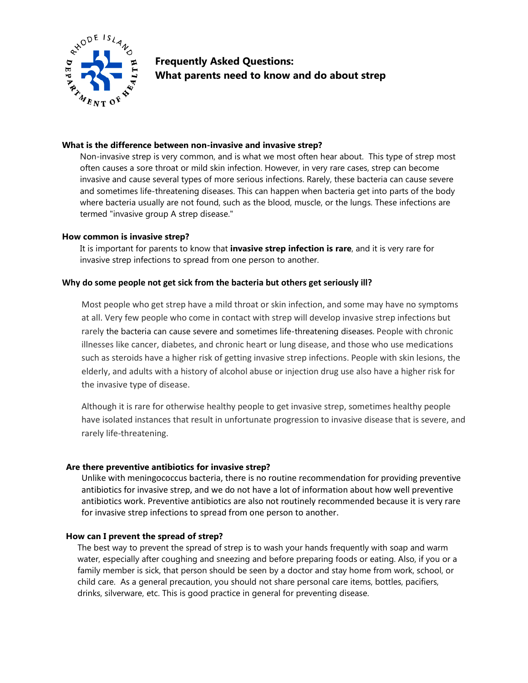

**Frequently Asked Questions: What parents need to know and do about strep**

## **What is the difference between non-invasive and invasive strep?**

Non-invasive strep is very common, and is what we most often hear about. This type of strep most often causes a sore throat or mild skin infection. However, in very rare cases, strep can become invasive and cause several types of more serious infections. Rarely, these bacteria can cause severe and sometimes life-threatening diseases. This can happen when bacteria get into parts of the body where bacteria usually are not found, such as the blood, muscle, or the lungs. These infections are termed "invasive group A strep disease."

### **How common is invasive strep?**

It is important for parents to know that **invasive strep infection is rare**, and it is very rare for invasive strep infections to spread from one person to another.

### **Why do some people not get sick from the bacteria but others get seriously ill?**

Most people who get strep have a mild throat or skin infection, and some may have no symptoms at all. Very few people who come in contact with strep will develop invasive strep infections but rarely the bacteria can cause severe and sometimes life-threatening diseases. People with chronic illnesses like cancer, diabetes, and chronic heart or lung disease, and those who use medications such as steroids have a higher risk of getting invasive strep infections. People with skin lesions, the elderly, and adults with a history of alcohol abuse or injection drug use also have a higher risk for the invasive type of disease.

Although it is rare for otherwise healthy people to get invasive strep, sometimes healthy people have isolated instances that result in unfortunate progression to invasive disease that is severe, and rarely life-threatening.

### **Are there preventive antibiotics for invasive strep?**

Unlike with meningococcus bacteria, there is no routine recommendation for providing preventive antibiotics for invasive strep, and we do not have a lot of information about how well preventive antibiotics work. Preventive antibiotics are also not routinely recommended because it is very rare for invasive strep infections to spread from one person to another.

### **How can I prevent the spread of strep?**

The best way to prevent the spread of strep is to wash your hands frequently with soap and warm water, especially after coughing and sneezing and before preparing foods or eating. Also, if you or a family member is sick, that person should be seen by a doctor and stay home from work, school, or child care. As a general precaution, you should not share personal care items, bottles, pacifiers, drinks, silverware, etc. This is good practice in general for preventing disease.